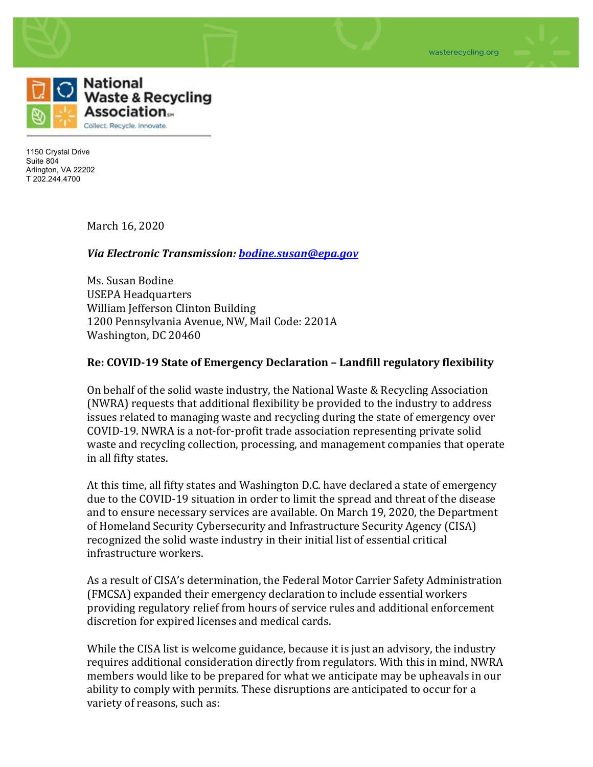

1150 Crystal Drive Suite 804 Arlington, VA 22202 T 202.244.4700

March 16, 2020

## *Via Electronic Transmission: <b>bodine.susan@epa.gov*

Ms. Susan Bodine USEPA Headquarters William Jefferson Clinton Building 1200 Pennsylvania Avenue, NW, Mail Code: 2201A Washington, DC 20460

## **Re: COVID-19 State of Emergency Declaration – Landfill regulatory flexibility**

On behalf of the solid waste industry, the National Waste & Recycling Association (NWRA) requests that additional flexibility be provided to the industry to address issues related to managing waste and recycling during the state of emergency over COVID-19. NWRA is a not-for-profit trade association representing private solid waste and recycling collection, processing, and management companies that operate in all fifty states.

At this time, all fifty states and Washington D.C. have declared a state of emergency due to the COVID-19 situation in order to limit the spread and threat of the disease and to ensure necessary services are available. On March 19, 2020, the Department of Homeland Security Cybersecurity and Infrastructure Security Agency (CISA) recognized the solid waste industry in their initial list of essential critical infrastructure workers.

As a result of CISA's determination, the Federal Motor Carrier Safety Administration (FMCSA) expanded their emergency declaration to include essential workers providing regulatory relief from hours of service rules and additional enforcement discretion for expired licenses and medical cards.

While the CISA list is welcome guidance, because it is just an advisory, the industry requires additional consideration directly from regulators. With this in mind, NWRA members would like to be prepared for what we anticipate may be upheavals in our ability to comply with permits. These disruptions are anticipated to occur for a variety of reasons, such as: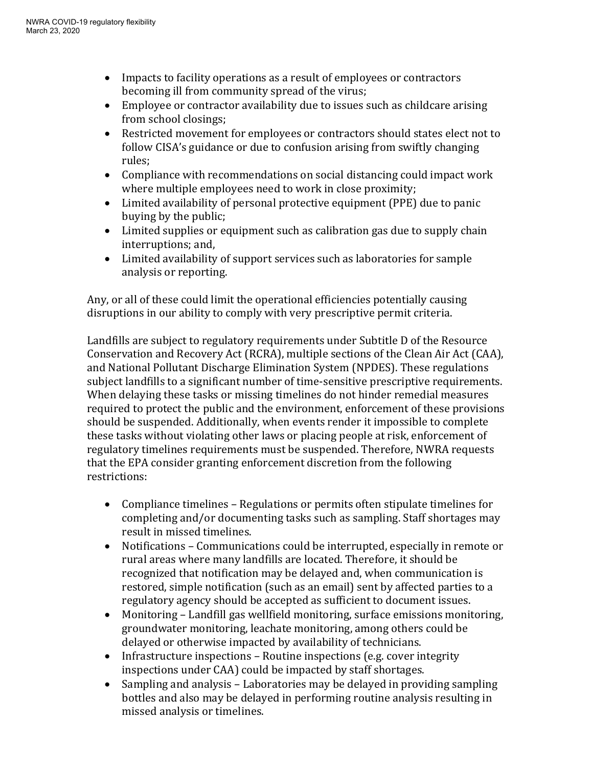- Impacts to facility operations as a result of employees or contractors becoming ill from community spread of the virus;
- $\bullet$  Employee or contractor availability due to issues such as childcare arising from school closings;
- Restricted movement for employees or contractors should states elect not to follow CISA's guidance or due to confusion arising from swiftly changing rules;
- Compliance with recommendations on social distancing could impact work where multiple employees need to work in close proximity;
- Limited availability of personal protective equipment (PPE) due to panic buying by the public;
- Limited supplies or equipment such as calibration gas due to supply chain interruptions; and,
- Limited availability of support services such as laboratories for sample analysis or reporting.

Any, or all of these could limit the operational efficiencies potentially causing disruptions in our ability to comply with very prescriptive permit criteria.

Landfills are subject to regulatory requirements under Subtitle D of the Resource Conservation and Recovery Act (RCRA), multiple sections of the Clean Air Act (CAA), and National Pollutant Discharge Elimination System (NPDES). These regulations subject landfills to a significant number of time-sensitive prescriptive requirements. When delaying these tasks or missing timelines do not hinder remedial measures required to protect the public and the environment, enforcement of these provisions should be suspended. Additionally, when events render it impossible to complete these tasks without violating other laws or placing people at risk, enforcement of regulatory timelines requirements must be suspended. Therefore, NWRA requests that the EPA consider granting enforcement discretion from the following restrictions: 

- Compliance timelines Regulations or permits often stipulate timelines for completing and/or documenting tasks such as sampling. Staff shortages may result in missed timelines.
- Notifications Communications could be interrupted, especially in remote or rural areas where many landfills are located. Therefore, it should be recognized that notification may be delayed and, when communication is restored, simple notification (such as an email) sent by affected parties to a regulatory agency should be accepted as sufficient to document issues.
- Monitoring Landfill gas wellfield monitoring, surface emissions monitoring, groundwater monitoring, leachate monitoring, among others could be delayed or otherwise impacted by availability of technicians.
- Infrastructure inspections  $-$  Routine inspections (e.g. cover integrity inspections under CAA) could be impacted by staff shortages.
- Sampling and analysis Laboratories may be delayed in providing sampling bottles and also may be delayed in performing routine analysis resulting in missed analysis or timelines.